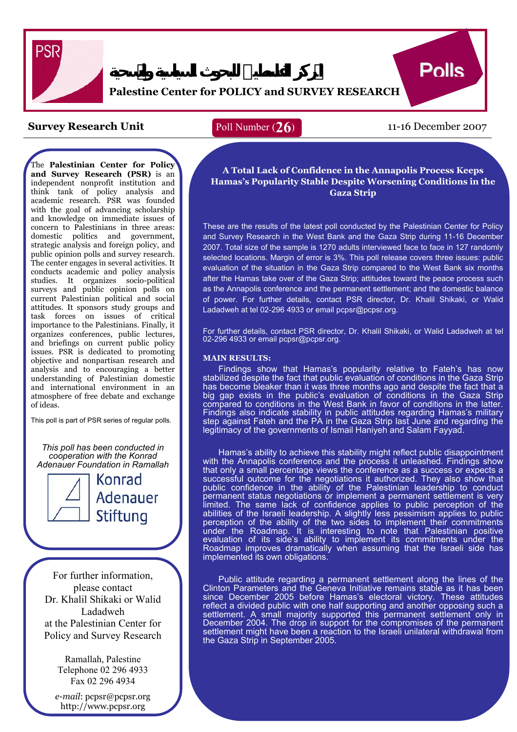

# **Palestine Center for POLICY and SURVEY RESEARCH**

## **Survey Research Unit** Poll Number (26) 11-16 December 2007

## Poll Number (**26**)

**Polls** 

The **Palestinian Center for Policy and Survey Research (PSR)** is an independent nonprofit institution and think tank of policy analysis and academic research. PSR was founded with the goal of advancing scholarship and knowledge on immediate issues of concern to Palestinians in three areas: domestic politics and government, strategic analysis and foreign policy, and public opinion polls and survey research. The center engages in several activities. It conducts academic and policy analysis studies. It organizes socio-political surveys and public opinion polls on current Palestinian political and social attitudes. It sponsors study groups and task forces on issues of critical importance to the Palestinians. Finally, it organizes conferences, public lectures, and briefings on current public policy issues. PSR is dedicated to promoting objective and nonpartisan research and analysis and to encouraging a better understanding of Palestinian domestic and international environment in an atmosphere of free debate and exchange of ideas.

This poll is part of PSR series of regular polls.

*This poll has been conducted in cooperation with the Konrad Adenauer Foundation in Ramallah*



For further information, please contact Dr. Khalil Shikaki or Walid Ladadweh at the Palestinian Center for Policy and Survey Research

> Ramallah, Palestine Telephone 02 296 4933 Fax 02 296 4934

*e-mail*: pcpsr@pcpsr.org http://www.pcpsr.org

 **Hamas's Popularity Stable Despite Worsening Conditions in the A Total Lack of Confidence in the Annapolis Process Keeps Gaza Strip** 

 These are the results of the latest poll conducted by the Palestinian Center for Policy These are the results of the latest poil conducted by the Palestinian Center for Policy<br>and Survey Research in the West Bank and the Gaza Strip during 11-16 December 2007. Total size of the sample is 1270 adults interviewed face to face in 127 randomly selected locations. Margin of error is 3%. This poll release covers three issues: public evaluation of the situation in the Gaza Strip compared to the West Bank six months after the Hamas take over of the Gaza Strip; attitudes toward the peace process such as the Annapolis conference and the permanent settlement; and the domestic balance of power. For further details, contact PSR director, Dr. Khalil Shikaki, or Walid Ladadweh at tel 02-296 4933 or email pcpsr@pcpsr.org.

 For further details, contact PSR director, Dr. Khalil Shikaki, or Walid Ladadweh at tel 02-296 4933 or email pcpsr@pcpsr.org.

#### **MAIN RESULTS:**

Findings show that Hamas's popularity relative to Fateh's has now<br>ilized despite the fact that public evaluation of conditions in the Gaza Strip stabilized despite the fact that public evaluation of conditions in the Gaza Strip has become bleaker than it was three months ago and despite the fact that a big gap exists in the public's evaluation of conditions in the Gaza Strip compared to conditions in the West Bank in favor of conditions in the latter. Findings also indicate stability in public attitudes regarding Hamas's military step against Fateh and the PA in the Gaza Strip last June and regarding the legitimacy of the governments of Ismail Haniyeh and Salam Fayyad.

Hamas's ability to achieve this stability might reflect public disappointment with the Annapolis conference and the process it unleashed. Findings show that only a small percentage views the conference as a success or expects a successful outcome for the negotiations it authorized. They also show that public confidence in the ability of the Palestinian leadership to conduct permanent status negotiations or implement a permanent settlement is very limited. The same lack of confidence applies to public perception of the abilities of the Israeli leadership. A slightly less pessimism applies to public perception of the ability of the two sides to implement their commitments under the Roadmap. It is interesting to note that Palestinian positive evaluation of its side's ability to implement its commitments under the Roadmap improves dramatically when assuming that the Israeli side has implemented its own obligations.

Public attitude regarding a permanent settlement along the lines of the Clinton Parameters and the Geneva Initiative remains stable as it has been since December 2005 before Hamas's electoral victory. These attitudes reflect a divided public with one half supporting and another opposing such a settlement. A small majority supported this permanent settlement only in December 2004. The drop in support for the compromises of the permanent settlement might have been a reaction to the Israeli unilateral withdrawal from the Gaza Strip in September 2005.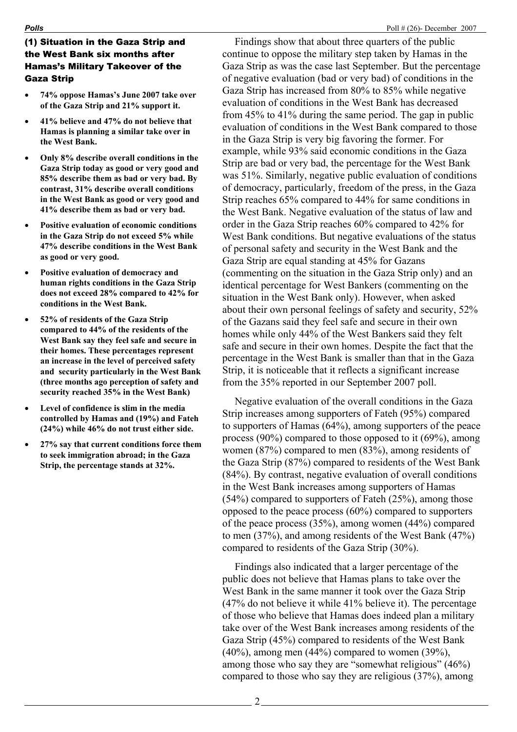## (1) Situation in the Gaza Strip and the West Bank six months after Hamas's Military Takeover of the Gaza Strip

- **74% oppose Hamas's June 2007 take over of the Gaza Strip and 21% support it.**
- **41% believe and 47% do not believe that Hamas is planning a similar take over in the West Bank.**
- **Only 8% describe overall conditions in the Gaza Strip today as good or very good and 85% describe them as bad or very bad. By contrast, 31% describe overall conditions in the West Bank as good or very good and 41% describe them as bad or very bad.**
- **Positive evaluation of economic conditions in the Gaza Strip do not exceed 5% while 47% describe conditions in the West Bank as good or very good.**
- **Positive evaluation of democracy and human rights conditions in the Gaza Strip does not exceed 28% compared to 42% for conditions in the West Bank.**
- **52% of residents of the Gaza Strip compared to 44% of the residents of the West Bank say they feel safe and secure in their homes. These percentages represent an increase in the level of perceived safety and security particularly in the West Bank (three months ago perception of safety and security reached 35% in the West Bank)**
- **Level of confidence is slim in the media controlled by Hamas and (19%) and Fateh (24%) while 46% do not trust either side.**
- **27% say that current conditions force them to seek immigration abroad; in the Gaza Strip, the percentage stands at 32%.**

 Findings show that about three quarters of the public continue to oppose the military step taken by Hamas in the Gaza Strip as was the case last September. But the percentage of negative evaluation (bad or very bad) of conditions in the Gaza Strip has increased from 80% to 85% while negative evaluation of conditions in the West Bank has decreased from 45% to 41% during the same period. The gap in public evaluation of conditions in the West Bank compared to those in the Gaza Strip is very big favoring the former. For example, while 93% said economic conditions in the Gaza Strip are bad or very bad, the percentage for the West Bank was 51%. Similarly, negative public evaluation of conditions of democracy, particularly, freedom of the press, in the Gaza Strip reaches 65% compared to 44% for same conditions in the West Bank. Negative evaluation of the status of law and order in the Gaza Strip reaches 60% compared to 42% for West Bank conditions. But negative evaluations of the status of personal safety and security in the West Bank and the Gaza Strip are equal standing at 45% for Gazans (commenting on the situation in the Gaza Strip only) and an identical percentage for West Bankers (commenting on the situation in the West Bank only). However, when asked about their own personal feelings of safety and security, 52% of the Gazans said they feel safe and secure in their own homes while only 44% of the West Bankers said they felt safe and secure in their own homes. Despite the fact that the percentage in the West Bank is smaller than that in the Gaza Strip, it is noticeable that it reflects a significant increase from the 35% reported in our September 2007 poll.

Negative evaluation of the overall conditions in the Gaza Strip increases among supporters of Fateh (95%) compared to supporters of Hamas (64%), among supporters of the peace process (90%) compared to those opposed to it (69%), among women (87%) compared to men (83%), among residents of the Gaza Strip (87%) compared to residents of the West Bank (84%). By contrast, negative evaluation of overall conditions in the West Bank increases among supporters of Hamas (54%) compared to supporters of Fateh (25%), among those opposed to the peace process (60%) compared to supporters of the peace process (35%), among women (44%) compared to men (37%), and among residents of the West Bank (47%) compared to residents of the Gaza Strip (30%).

Findings also indicated that a larger percentage of the public does not believe that Hamas plans to take over the West Bank in the same manner it took over the Gaza Strip (47% do not believe it while 41% believe it). The percentage of those who believe that Hamas does indeed plan a military take over of the West Bank increases among residents of the Gaza Strip (45%) compared to residents of the West Bank  $(40\%)$ , among men  $(44\%)$  compared to women  $(39\%)$ , among those who say they are "somewhat religious" (46%) compared to those who say they are religious (37%), among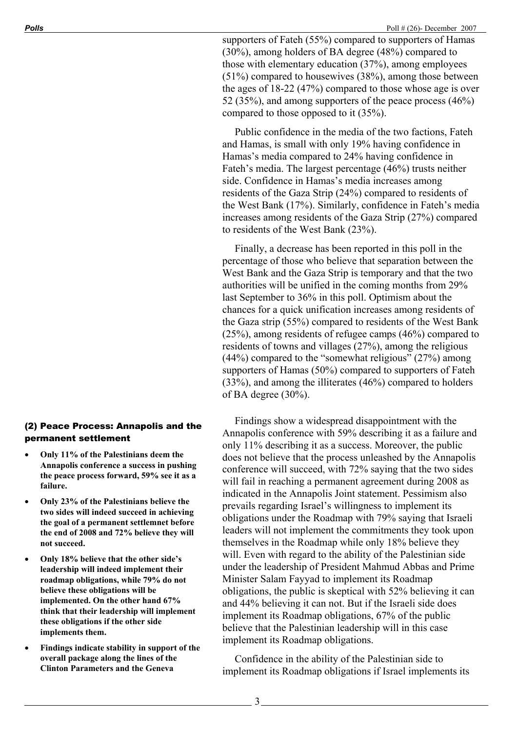supporters of Fateh (55%) compared to supporters of Hamas (30%), among holders of BA degree (48%) compared to those with elementary education (37%), among employees (51%) compared to housewives (38%), among those between the ages of 18-22 (47%) compared to those whose age is over 52 (35%), and among supporters of the peace process (46%) compared to those opposed to it (35%).

Public confidence in the media of the two factions, Fateh and Hamas, is small with only 19% having confidence in Hamas's media compared to 24% having confidence in Fateh's media. The largest percentage (46%) trusts neither side. Confidence in Hamas's media increases among residents of the Gaza Strip (24%) compared to residents of the West Bank (17%). Similarly, confidence in Fateh's media increases among residents of the Gaza Strip (27%) compared to residents of the West Bank (23%).

Finally, a decrease has been reported in this poll in the percentage of those who believe that separation between the West Bank and the Gaza Strip is temporary and that the two authorities will be unified in the coming months from 29% last September to 36% in this poll. Optimism about the chances for a quick unification increases among residents of the Gaza strip (55%) compared to residents of the West Bank (25%), among residents of refugee camps (46%) compared to residents of towns and villages (27%), among the religious (44%) compared to the "somewhat religious" (27%) among supporters of Hamas (50%) compared to supporters of Fateh (33%), and among the illiterates (46%) compared to holders of BA degree (30%).

Findings show a widespread disappointment with the Annapolis conference with 59% describing it as a failure and only 11% describing it as a success. Moreover, the public does not believe that the process unleashed by the Annapolis conference will succeed, with 72% saying that the two sides will fail in reaching a permanent agreement during 2008 as indicated in the Annapolis Joint statement. Pessimism also prevails regarding Israel's willingness to implement its obligations under the Roadmap with 79% saying that Israeli leaders will not implement the commitments they took upon themselves in the Roadmap while only 18% believe they will. Even with regard to the ability of the Palestinian side under the leadership of President Mahmud Abbas and Prime Minister Salam Fayyad to implement its Roadmap obligations, the public is skeptical with 52% believing it can and 44% believing it can not. But if the Israeli side does implement its Roadmap obligations, 67% of the public believe that the Palestinian leadership will in this case implement its Roadmap obligations.

Confidence in the ability of the Palestinian side to implement its Roadmap obligations if Israel implements its

## (2) Peace Process: Annapolis and the permanent settlement

- **Only 11% of the Palestinians deem the Annapolis conference a success in pushing the peace process forward, 59% see it as a failure.**
- **Only 23% of the Palestinians believe the two sides will indeed succeed in achieving the goal of a permanent settlemnet before the end of 2008 and 72% believe they will not succeed.**
- **Only 18% believe that the other side's leadership will indeed implement their roadmap obligations, while 79% do not believe these obligations will be implemented. On the other hand 67% think that their leadership will implement these obligations if the other side implements them.**
- **Findings indicate stability in support of the overall package along the lines of the Clinton Parameters and the Geneva**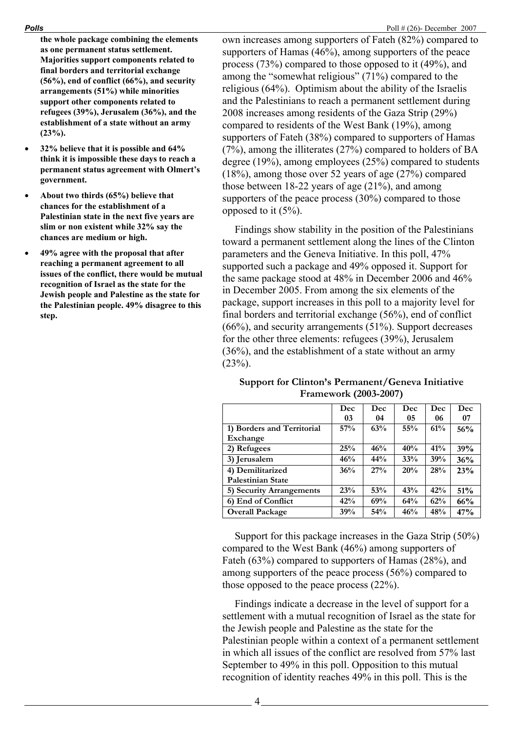**the whole package combining the elements as one permanent status settlement. Majorities support components related to final borders and territorial exchange (56%), end of conflict (66%), and security arrangements (51%) while minorities support other components related to refugees (39%), Jerusalem (36%), and the establishment of a state without an army (23%).** 

- **32% believe that it is possible and 64% think it is impossible these days to reach a permanent status agreement with Olmert's government.**
- **About two thirds (65%) believe that chances for the establishment of a Palestinian state in the next five years are slim or non existent while 32% say the chances are medium or high.**
- **49% agree with the proposal that after reaching a permanent agreement to all issues of the conflict, there would be mutual recognition of Israel as the state for the Jewish people and Palestine as the state for the Palestinian people. 49% disagree to this step.**

own increases among supporters of Fateh (82%) compared to supporters of Hamas (46%), among supporters of the peace process (73%) compared to those opposed to it (49%), and among the "somewhat religious" (71%) compared to the religious (64%). Optimism about the ability of the Israelis and the Palestinians to reach a permanent settlement during 2008 increases among residents of the Gaza Strip (29%) compared to residents of the West Bank (19%), among supporters of Fateh (38%) compared to supporters of Hamas (7%), among the illiterates (27%) compared to holders of BA degree (19%), among employees (25%) compared to students (18%), among those over 52 years of age (27%) compared those between 18-22 years of age (21%), and among supporters of the peace process (30%) compared to those opposed to it (5%).

Findings show stability in the position of the Palestinians toward a permanent settlement along the lines of the Clinton parameters and the Geneva Initiative. In this poll, 47% supported such a package and 49% opposed it. Support for the same package stood at 48% in December 2006 and 46% in December 2005. From among the six elements of the package, support increases in this poll to a majority level for final borders and territorial exchange (56%), end of conflict (66%), and security arrangements (51%). Support decreases for the other three elements: refugees (39%), Jerusalem (36%), and the establishment of a state without an army  $(23%)$ .

| Support for Clinton's Permanent/Geneva Initiative |  |
|---------------------------------------------------|--|
| <b>Framework (2003-2007)</b>                      |  |

|                            | Dec | Dec | Dec    | Dec | Dec |
|----------------------------|-----|-----|--------|-----|-----|
|                            | 03  | 04  | 05     | 06  | 07  |
| 1) Borders and Territorial | 57% | 63% | $55\%$ | 61% | 56% |
| Exchange                   |     |     |        |     |     |
| 2) Refugees                | 25% | 46% | 40%    | 41% | 39% |
| 3) Jerusalem               | 46% | 44% | 33%    | 39% | 36% |
| 4) Demilitarized           | 36% | 27% | 20%    | 28% | 23% |
| <b>Palestinian State</b>   |     |     |        |     |     |
| 5) Security Arrangements   | 23% | 53% | 43%    | 42% | 51% |
| 6) End of Conflict         | 42% | 69% | 64%    | 62% | 66% |
| <b>Overall Package</b>     | 39% | 54% | 46%    | 48% | 47% |

Support for this package increases in the Gaza Strip (50%) compared to the West Bank (46%) among supporters of Fateh (63%) compared to supporters of Hamas (28%), and among supporters of the peace process (56%) compared to those opposed to the peace process (22%).

Findings indicate a decrease in the level of support for a settlement with a mutual recognition of Israel as the state for the Jewish people and Palestine as the state for the Palestinian people within a context of a permanent settlement in which all issues of the conflict are resolved from 57% last September to 49% in this poll. Opposition to this mutual recognition of identity reaches 49% in this poll. This is the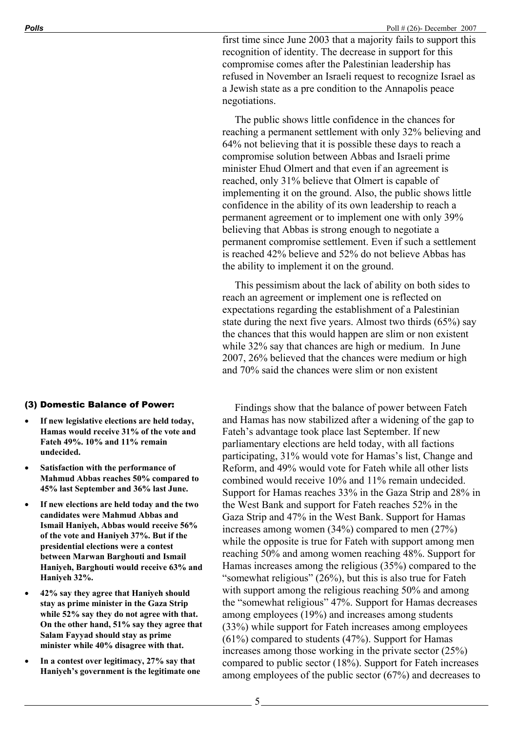first time since June 2003 that a majority fails to support this recognition of identity. The decrease in support for this compromise comes after the Palestinian leadership has refused in November an Israeli request to recognize Israel as a Jewish state as a pre condition to the Annapolis peace negotiations.

The public shows little confidence in the chances for reaching a permanent settlement with only 32% believing and 64% not believing that it is possible these days to reach a compromise solution between Abbas and Israeli prime minister Ehud Olmert and that even if an agreement is reached, only 31% believe that Olmert is capable of implementing it on the ground. Also, the public shows little confidence in the ability of its own leadership to reach a permanent agreement or to implement one with only 39% believing that Abbas is strong enough to negotiate a permanent compromise settlement. Even if such a settlement is reached 42% believe and 52% do not believe Abbas has the ability to implement it on the ground.

This pessimism about the lack of ability on both sides to reach an agreement or implement one is reflected on expectations regarding the establishment of a Palestinian state during the next five years. Almost two thirds (65%) say the chances that this would happen are slim or non existent while 32% say that chances are high or medium. In June 2007, 26% believed that the chances were medium or high and 70% said the chances were slim or non existent

### (3) Domestic Balance of Power:

- If new legislative elections are held today, **Hamas would receive 31% of the vote and Fateh 49%. 10% and 11% remain undecided.**
- **Satisfaction with the performance of Mahmud Abbas reaches 50% compared to 45% last September and 36% last June.**
- **If new elections are held today and the two candidates were Mahmud Abbas and Ismail Haniyeh, Abbas would receive 56% of the vote and Haniyeh 37%. But if the presidential elections were a contest between Marwan Barghouti and Ismail Haniyeh, Barghouti would receive 63% and Haniyeh 32%.**
- **42% say they agree that Haniyeh should stay as prime minister in the Gaza Strip while 52% say they do not agree with that. On the other hand, 51% say they agree that Salam Fayyad should stay as prime minister while 40% disagree with that.**
- **In a contest over legitimacy, 27% say that Haniyeh's government is the legitimate one**

Findings show that the balance of power between Fateh and Hamas has now stabilized after a widening of the gap to Fateh's advantage took place last September. If new parliamentary elections are held today, with all factions participating, 31% would vote for Hamas's list, Change and Reform, and 49% would vote for Fateh while all other lists combined would receive 10% and 11% remain undecided. Support for Hamas reaches 33% in the Gaza Strip and 28% in the West Bank and support for Fateh reaches 52% in the Gaza Strip and 47% in the West Bank. Support for Hamas increases among women (34%) compared to men (27%) while the opposite is true for Fateh with support among men reaching 50% and among women reaching 48%. Support for Hamas increases among the religious (35%) compared to the "somewhat religious" (26%), but this is also true for Fateh with support among the religious reaching 50% and among the "somewhat religious" 47%. Support for Hamas decreases among employees (19%) and increases among students (33%) while support for Fateh increases among employees (61%) compared to students (47%). Support for Hamas increases among those working in the private sector (25%) compared to public sector (18%). Support for Fateh increases among employees of the public sector (67%) and decreases to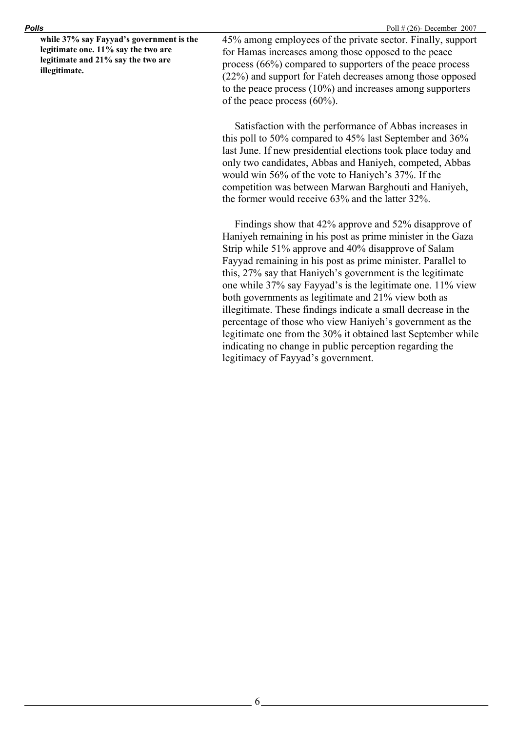**while 37% say Fayyad's government is the legitimate one. 11% say the two are legitimate and 21% say the two are illegitimate.** 

45% among employees of the private sector. Finally, support for Hamas increases among those opposed to the peace process (66%) compared to supporters of the peace process (22%) and support for Fateh decreases among those opposed to the peace process (10%) and increases among supporters of the peace process (60%).

Satisfaction with the performance of Abbas increases in this poll to 50% compared to 45% last September and 36% last June. If new presidential elections took place today and only two candidates, Abbas and Haniyeh, competed, Abbas would win 56% of the vote to Haniyeh's 37%. If the competition was between Marwan Barghouti and Haniyeh, the former would receive 63% and the latter 32%.

Findings show that 42% approve and 52% disapprove of Haniyeh remaining in his post as prime minister in the Gaza Strip while 51% approve and 40% disapprove of Salam Fayyad remaining in his post as prime minister. Parallel to this, 27% say that Haniyeh's government is the legitimate one while 37% say Fayyad's is the legitimate one. 11% view both governments as legitimate and 21% view both as illegitimate. These findings indicate a small decrease in the percentage of those who view Haniyeh's government as the legitimate one from the 30% it obtained last September while indicating no change in public perception regarding the legitimacy of Fayyad's government.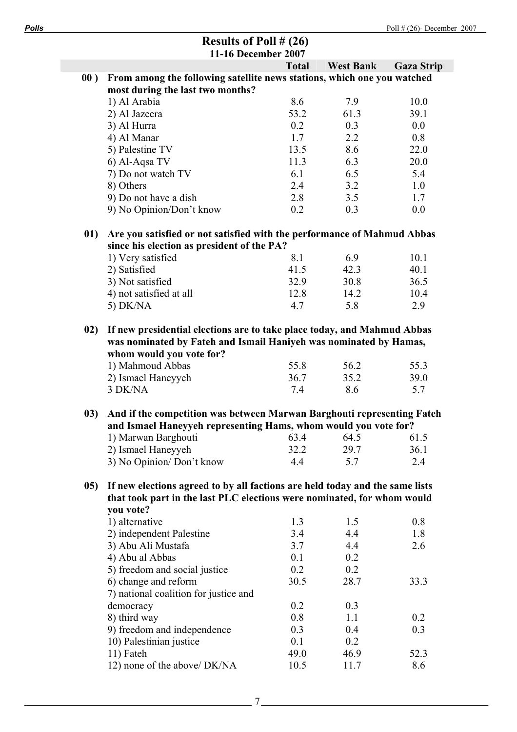|       | Results of Poll $# (26)$                                                                                                                                                 |              |                  |                   |
|-------|--------------------------------------------------------------------------------------------------------------------------------------------------------------------------|--------------|------------------|-------------------|
|       | 11-16 December 2007                                                                                                                                                      |              |                  |                   |
|       |                                                                                                                                                                          | <b>Total</b> | <b>West Bank</b> | <b>Gaza Strip</b> |
| 00)   | From among the following satellite news stations, which one you watched<br>most during the last two months?                                                              |              |                  |                   |
|       | 1) Al Arabia                                                                                                                                                             | 8.6          | 7.9              | 10.0              |
|       | 2) Al Jazeera                                                                                                                                                            | 53.2         | 61.3             | 39.1              |
|       | 3) Al Hurra                                                                                                                                                              | 0.2          | 0.3              | 0.0               |
|       | 4) Al Manar                                                                                                                                                              | 1.7          | 2.2              | 0.8               |
|       | 5) Palestine TV                                                                                                                                                          | 13.5         | 8.6              | 22.0              |
|       | 6) Al-Aqsa TV                                                                                                                                                            | 11.3         | 6.3              | 20.0              |
|       | 7) Do not watch TV                                                                                                                                                       | 6.1          | 6.5              | 5.4               |
|       | 8) Others                                                                                                                                                                | 2.4          | 3.2              | 1.0               |
|       | 9) Do not have a dish                                                                                                                                                    | 2.8          | 3.5              | 1.7               |
|       | 9) No Opinion/Don't know                                                                                                                                                 | 0.2          | 0.3              | 0.0               |
| 01)   | Are you satisfied or not satisfied with the performance of Mahmud Abbas                                                                                                  |              |                  |                   |
|       | since his election as president of the PA?                                                                                                                               | 8.1          |                  | 10.1              |
|       | 1) Very satisfied                                                                                                                                                        |              | 6.9              |                   |
|       | 2) Satisfied                                                                                                                                                             | 41.5         | 42.3             | 40.1              |
|       | 3) Not satisfied                                                                                                                                                         | 32.9         | 30.8             | 36.5              |
|       | 4) not satisfied at all                                                                                                                                                  | 12.8         | 14.2             | 10.4              |
|       | 5) DK/NA                                                                                                                                                                 | 4.7          | 5.8              | 2.9               |
| 02)   | If new presidential elections are to take place today, and Mahmud Abbas<br>was nominated by Fateh and Ismail Haniyeh was nominated by Hamas,<br>whom would you vote for? |              |                  |                   |
|       | 1) Mahmoud Abbas                                                                                                                                                         | 55.8         | 56.2             | 55.3              |
|       | 2) Ismael Haneyyeh                                                                                                                                                       | 36.7         | 35.2             | 39.0              |
|       | 3 DK/NA                                                                                                                                                                  | 7.4          | 8.6              | 5.7               |
| 03)   | And if the competition was between Marwan Barghouti representing Fateh                                                                                                   |              |                  |                   |
|       | and Ismael Haneyyeh representing Hams, whom would you vote for?                                                                                                          |              |                  |                   |
|       | 1) Marwan Barghouti                                                                                                                                                      | 63.4         | 64.5             | 61.5              |
|       | 2) Ismael Haneyyeh                                                                                                                                                       | 32.2         | 29.7             | 36.1              |
|       | 3) No Opinion/Don't know                                                                                                                                                 | 4.4          | 5.7              | 2.4               |
| (0.5) | If new elections agreed to by all factions are held today and the same lists<br>that took part in the last PLC elections were nominated, for whom would                  |              |                  |                   |
|       | you vote?                                                                                                                                                                |              |                  |                   |
|       | 1) alternative                                                                                                                                                           | 1.3          | 1.5              | 0.8               |
|       | 2) independent Palestine                                                                                                                                                 | 3.4          | 4.4              | 1.8               |
|       | 3) Abu Ali Mustafa                                                                                                                                                       | 3.7          | 4.4              | 2.6               |
|       |                                                                                                                                                                          | 0.1          | 0.2              |                   |
|       | 4) Abu al Abbas                                                                                                                                                          |              |                  |                   |
|       | 5) freedom and social justice                                                                                                                                            | 0.2          | 0.2              |                   |
|       | 6) change and reform<br>7) national coalition for justice and                                                                                                            | 30.5         | 28.7             | 33.3              |
|       | democracy                                                                                                                                                                | 0.2          | 0.3              |                   |
|       | 8) third way                                                                                                                                                             | 0.8          | 1.1              | 0.2               |
|       | 9) freedom and independence                                                                                                                                              | 0.3          | 0.4              | 0.3               |
|       | 10) Palestinian justice                                                                                                                                                  | 0.1          | 0.2              |                   |
|       | 11) Fateh                                                                                                                                                                | 49.0         | 46.9             | 52.3              |
|       | 12) none of the above/ DK/NA                                                                                                                                             | 10.5         | 11.7             | 8.6               |
|       |                                                                                                                                                                          |              |                  |                   |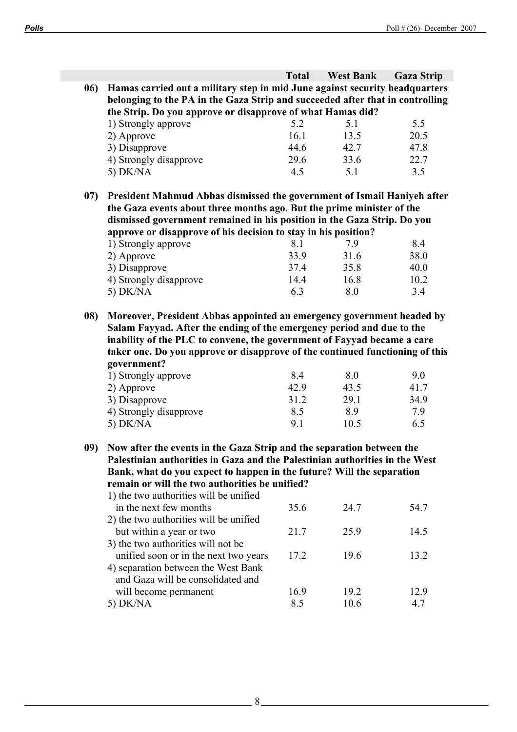|     |                                                                                                                                                                                                                                                                                                           | <b>Total</b>        | <b>West Bank</b>    | <b>Gaza Strip</b>   |
|-----|-----------------------------------------------------------------------------------------------------------------------------------------------------------------------------------------------------------------------------------------------------------------------------------------------------------|---------------------|---------------------|---------------------|
| 06) | Hamas carried out a military step in mid June against security headquarters                                                                                                                                                                                                                               |                     |                     |                     |
|     | belonging to the PA in the Gaza Strip and succeeded after that in controlling                                                                                                                                                                                                                             |                     |                     |                     |
|     | the Strip. Do you approve or disapprove of what Hamas did?                                                                                                                                                                                                                                                |                     |                     |                     |
|     | 1) Strongly approve                                                                                                                                                                                                                                                                                       | 5.2                 | 5.1                 | 5.5                 |
|     | 2) Approve                                                                                                                                                                                                                                                                                                | 16.1                | 13.5                | 20.5                |
|     | 3) Disapprove                                                                                                                                                                                                                                                                                             | 44.6                | 42.7                | 47.8                |
|     | 4) Strongly disapprove                                                                                                                                                                                                                                                                                    | 29.6                | 33.6                | 22.7                |
|     | 5) $DK/NA$                                                                                                                                                                                                                                                                                                | 4.5                 | 5.1                 | 3.5                 |
| 07) | President Mahmud Abbas dismissed the government of Ismail Haniyeh after                                                                                                                                                                                                                                   |                     |                     |                     |
|     | the Gaza events about three months ago. But the prime minister of the                                                                                                                                                                                                                                     |                     |                     |                     |
|     | dismissed government remained in his position in the Gaza Strip. Do you                                                                                                                                                                                                                                   |                     |                     |                     |
|     | approve or disapprove of his decision to stay in his position?                                                                                                                                                                                                                                            |                     |                     |                     |
|     | 1) Strongly approve                                                                                                                                                                                                                                                                                       | 8.1                 | 7.9                 | 8.4                 |
|     | 2) Approve                                                                                                                                                                                                                                                                                                | 33.9                | 31.6                | 38.0                |
|     | 3) Disapprove                                                                                                                                                                                                                                                                                             | 37.4                | 35.8                | 40.0                |
|     | 4) Strongly disapprove                                                                                                                                                                                                                                                                                    | 14.4                | 16.8                | 10.2                |
|     | 5) DK/NA                                                                                                                                                                                                                                                                                                  | 6.3                 | 8.0                 | 3.4                 |
| 08) | Moreover, President Abbas appointed an emergency government headed by<br>Salam Fayyad. After the ending of the emergency period and due to the<br>inability of the PLC to convene, the government of Fayyad became a care<br>taker one. Do you approve or disapprove of the continued functioning of this |                     |                     |                     |
|     | government?<br>1) Strongly approve<br>2) Approve<br>3) Disapprove                                                                                                                                                                                                                                         | 8.4<br>42.9<br>31.2 | 8.0<br>43.5<br>29.1 | 9.0<br>41.7<br>34.9 |
|     | 4) Strongly disapprove                                                                                                                                                                                                                                                                                    | 8.5                 | 8.9                 | 7.9                 |
|     | 5) DK/NA                                                                                                                                                                                                                                                                                                  | 9.1                 | 10.5                | 6.5                 |
| 09) | Now after the events in the Gaza Strip and the separation between the                                                                                                                                                                                                                                     |                     |                     |                     |
|     | Palestinian authorities in Gaza and the Palestinian authorities in the West                                                                                                                                                                                                                               |                     |                     |                     |
|     | Bank, what do you expect to happen in the future? Will the separation                                                                                                                                                                                                                                     |                     |                     |                     |
|     | remain or will the two authorities be unified?                                                                                                                                                                                                                                                            |                     |                     |                     |
|     | 1) the two authorities will be unified                                                                                                                                                                                                                                                                    |                     |                     |                     |
|     | in the next few months                                                                                                                                                                                                                                                                                    | 35.6                | 24.7                | 54.7                |
|     | 2) the two authorities will be unified                                                                                                                                                                                                                                                                    |                     |                     |                     |
|     | but within a year or two                                                                                                                                                                                                                                                                                  | 21.7                | 25.9                | 14.5                |
|     | 3) the two authorities will not be                                                                                                                                                                                                                                                                        |                     |                     |                     |
|     | unified soon or in the next two years<br>4) separation between the West Bank                                                                                                                                                                                                                              | 17.2                | 19.6                | 13.2                |
|     | and Gaza will be consolidated and                                                                                                                                                                                                                                                                         |                     |                     |                     |
|     | will become permanent<br>5) DK/NA                                                                                                                                                                                                                                                                         | 16.9<br>8.5         | 19.2<br>10.6        | 12.9<br>4.7         |

 $-8$   $-$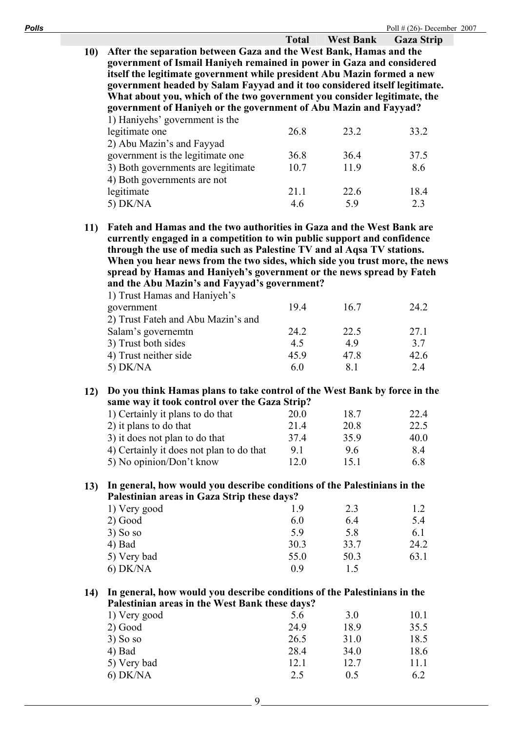**Total West Bank Gaza Strip 10) After the separation between Gaza and the West Bank, Hamas and the government of Ismail Haniyeh remained in power in Gaza and considered itself the legitimate government while president Abu Mazin formed a new government headed by Salam Fayyad and it too considered itself legitimate. What about you, which of the two government you consider legitimate, the government of Haniyeh or the government of Abu Mazin and Fayyad?**  1) Haniyehs' government is the

| legitimate one                     | 26.8 | 23.2 | 33.2 |
|------------------------------------|------|------|------|
| 2) Abu Mazin's and Fayyad          |      |      |      |
| government is the legitimate one   | 36.8 | 364  | 37.5 |
| 3) Both governments are legitimate | 10.7 | 11.9 | 8.6  |
| 4) Both governments are not        |      |      |      |
| legitimate                         | 21.1 | 22.6 | 18.4 |
| 5) $DK/NA$                         | 46   | 59   | 2.3  |

**11) Fateh and Hamas and the two authorities in Gaza and the West Bank are currently engaged in a competition to win public support and confidence through the use of media such as Palestine TV and al Aqsa TV stations. When you hear news from the two sides, which side you trust more, the news spread by Hamas and Haniyeh's government or the news spread by Fateh and the Abu Mazin's and Fayyad's government?** 

| 194  | 16.7 | 24.2 |
|------|------|------|
|      |      |      |
| 24.2 | 22.5 | 27.1 |
| 4.5  | 49   | 3.7  |
| 45.9 | 47.8 | 42.6 |
| 6.0  | 81   | 2.4  |
|      |      |      |

## **12) Do you think Hamas plans to take control of the West Bank by force in the same way it took control over the Gaza Strip?**

| 1) Certainly it plans to do that         | 20.0 | 187  | 22.4 |
|------------------------------------------|------|------|------|
| 2) it plans to do that                   | 214  | 20.8 | 22.5 |
| 3) it does not plan to do that           | 37.4 | 359  | 40.0 |
| 4) Certainly it does not plan to do that | 9.1  | 96   | 84   |
| 5) No opinion/Don't know                 | 12 0 | 151  | 6.8  |

### **13) In general, how would you describe conditions of the Palestinians in the Palestinian areas in Gaza Strip these days?**

| 1) Very good | 19   | 2.3  | 1.2  |
|--------------|------|------|------|
| $2)$ Good    | 6.0  | 6.4  | 5.4  |
| $3)$ So so   | 5.9  | 5.8  | 6.1  |
| $4)$ Bad     | 30.3 | 33.7 | 24.2 |
| 5) Very bad  | 55.0 | 50.3 | 63.1 |
| $6)$ DK/NA   | 09   | 1.5  |      |
|              |      |      |      |

## **14) In general, how would you describe conditions of the Palestinians in the Palestinian areas in the West Bank these days?**

| 1) Very good | 5.6  | 3.0  | 10.1 |
|--------------|------|------|------|
| $2)$ Good    | 24.9 | 18.9 | 35.5 |
| $3)$ So so   | 26.5 | 31.0 | 18.5 |
| $4)$ Bad     | 28.4 | 34.0 | 18.6 |
| 5) Very bad  | 12.1 | 12.7 | 11.1 |
| $6)$ DK/NA   | 2.5  | 0.5  | 6.2  |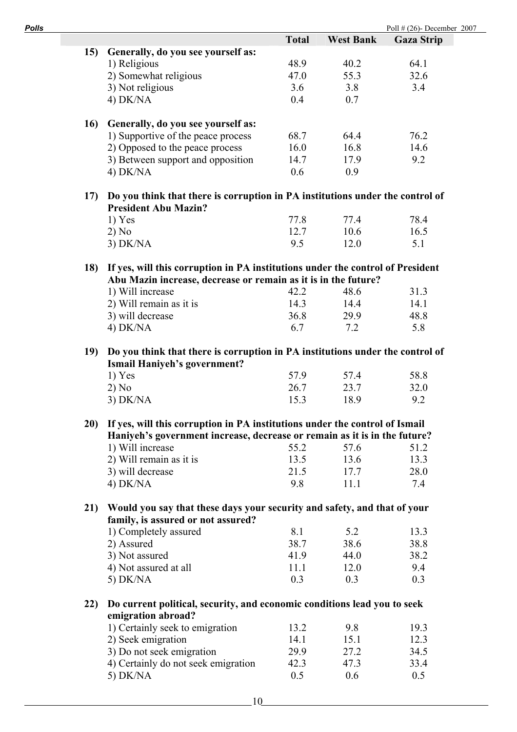| Polls |                                                                                                                                                                 |              |                  | Poll $\#$ (26)- December 2007 |
|-------|-----------------------------------------------------------------------------------------------------------------------------------------------------------------|--------------|------------------|-------------------------------|
|       |                                                                                                                                                                 | <b>Total</b> | <b>West Bank</b> | <b>Gaza Strip</b>             |
| 15)   | Generally, do you see yourself as:                                                                                                                              |              |                  |                               |
|       | 1) Religious                                                                                                                                                    | 48.9         | 40.2             | 64.1                          |
|       | 2) Somewhat religious                                                                                                                                           | 47.0         | 55.3             | 32.6                          |
|       | 3) Not religious                                                                                                                                                | 3.6          | 3.8              | 3.4                           |
|       | $4)$ DK/NA                                                                                                                                                      | 0.4          | 0.7              |                               |
|       |                                                                                                                                                                 |              |                  |                               |
|       | 16)<br>Generally, do you see yourself as:                                                                                                                       |              |                  |                               |
|       | 1) Supportive of the peace process                                                                                                                              | 68.7         | 64.4             | 76.2                          |
|       | 2) Opposed to the peace process                                                                                                                                 | 16.0         | 16.8             | 14.6                          |
|       | 3) Between support and opposition                                                                                                                               | 14.7         | 17.9             | 9.2                           |
|       | $4)$ DK/NA                                                                                                                                                      | 0.6          | 0.9              |                               |
| 17)   | Do you think that there is corruption in PA institutions under the control of<br><b>President Abu Mazin?</b>                                                    |              |                  |                               |
|       | $1)$ Yes                                                                                                                                                        | 77.8         | 77.4             | 78.4                          |
|       | 2) No                                                                                                                                                           | 12.7         | 10.6             | 16.5                          |
|       | $3)$ DK/NA                                                                                                                                                      | 9.5          | 12.0             | 5.1                           |
|       |                                                                                                                                                                 |              |                  |                               |
|       | If yes, will this corruption in PA institutions under the control of President<br><b>18</b> )<br>Abu Mazin increase, decrease or remain as it is in the future? |              |                  |                               |
|       | 1) Will increase                                                                                                                                                | 42.2         | 48.6             | 31.3                          |
|       | 2) Will remain as it is                                                                                                                                         | 14.3         | 14.4             | 14.1                          |
|       | 3) will decrease                                                                                                                                                | 36.8         | 29.9             | 48.8                          |
|       | $4)$ DK/NA                                                                                                                                                      | 6.7          | 7.2              | 5.8                           |
| 19)   | Do you think that there is corruption in PA institutions under the control of                                                                                   |              |                  |                               |
|       | <b>Ismail Haniyeh's government?</b>                                                                                                                             |              |                  |                               |
|       | $1)$ Yes                                                                                                                                                        | 57.9         | 57.4             | 58.8                          |
|       | 2) No                                                                                                                                                           | 26.7         | 23.7             | 32.0                          |
|       | $3)$ DK/NA                                                                                                                                                      | 15.3         | 18.9             | 9.2                           |
|       |                                                                                                                                                                 |              |                  |                               |
|       | If yes, will this corruption in PA institutions under the control of Ismail<br>20)                                                                              |              |                  |                               |
|       | Haniyeh's government increase, decrease or remain as it is in the future?                                                                                       |              |                  |                               |
|       | 1) Will increase                                                                                                                                                | 55.2         | 57.6             | 51.2                          |
|       | 2) Will remain as it is                                                                                                                                         | 13.5         | 13.6             | 13.3                          |
|       | 3) will decrease                                                                                                                                                | 21.5         | 17.7             | 28.0                          |
|       | $4)$ DK/NA                                                                                                                                                      | 9.8          | 11.1             | 7.4                           |
|       | Would you say that these days your security and safety, and that of your<br>21)                                                                                 |              |                  |                               |
|       | family, is assured or not assured?                                                                                                                              | 8.1          | 5.2              |                               |
|       | 1) Completely assured                                                                                                                                           |              |                  | 13.3                          |
|       | 2) Assured                                                                                                                                                      | 38.7         | 38.6             | 38.8                          |
|       | 3) Not assured                                                                                                                                                  | 41.9         | 44.0             | 38.2                          |
|       | 4) Not assured at all                                                                                                                                           | 11.1         | 12.0             | 9.4                           |
|       | 5) $DK/NA$                                                                                                                                                      | 0.3          | 0.3              | 0.3                           |
|       | Do current political, security, and economic conditions lead you to seek<br>22)                                                                                 |              |                  |                               |
|       | emigration abroad?                                                                                                                                              |              | 9.8              |                               |
|       | 1) Certainly seek to emigration                                                                                                                                 | 13.2         |                  | 19.3                          |
|       | 2) Seek emigration                                                                                                                                              | 14.1         | 15.1             | 12.3                          |
|       | 3) Do not seek emigration                                                                                                                                       | 29.9         | 27.2             | 34.5                          |
|       | 4) Certainly do not seek emigration                                                                                                                             | 42.3         | 47.3             | 33.4                          |
|       | 5) DK/NA                                                                                                                                                        | 0.5          | 0.6              | 0.5                           |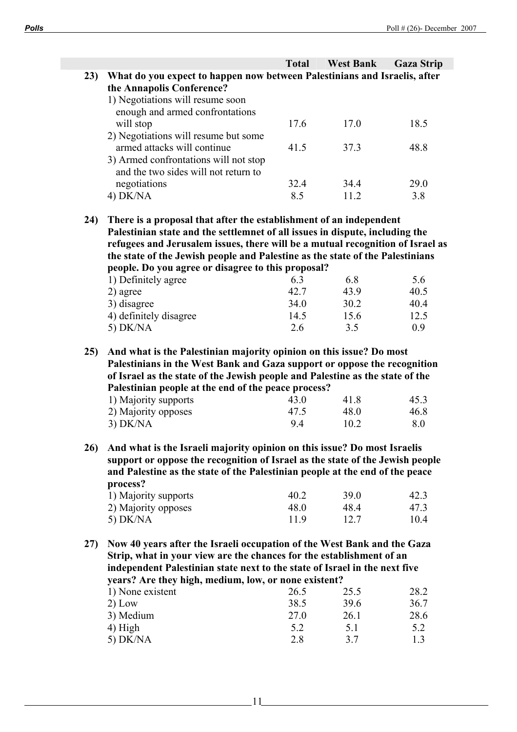|     |                                                                                | <b>Total</b> | <b>West Bank</b> | <b>Gaza Strip</b> |
|-----|--------------------------------------------------------------------------------|--------------|------------------|-------------------|
| 23) | What do you expect to happen now between Palestinians and Israelis, after      |              |                  |                   |
|     | the Annapolis Conference?                                                      |              |                  |                   |
|     | 1) Negotiations will resume soon                                               |              |                  |                   |
|     | enough and armed confrontations                                                |              |                  |                   |
|     | will stop                                                                      | 17.6         | 17.0             | 18.5              |
|     | 2) Negotiations will resume but some                                           |              |                  |                   |
|     | armed attacks will continue                                                    | 41.5         | 37.3             | 48.8              |
|     | 3) Armed confrontations will not stop                                          |              |                  |                   |
|     | and the two sides will not return to                                           |              |                  |                   |
|     | negotiations                                                                   | 32.4         | 34.4             | 29.0              |
|     | 4) DK/NA                                                                       | 8.5          | 11.2             | 3.8               |
|     |                                                                                |              |                  |                   |
| 24) | There is a proposal that after the establishment of an independent             |              |                  |                   |
|     | Palestinian state and the settlemnet of all issues in dispute, including the   |              |                  |                   |
|     | refugees and Jerusalem issues, there will be a mutual recognition of Israel as |              |                  |                   |
|     | the state of the Jewish people and Palestine as the state of the Palestinians  |              |                  |                   |
|     | people. Do you agree or disagree to this proposal?                             |              |                  |                   |
|     | 1) Definitely agree                                                            | 6.3          | 6.8              | 5.6               |
|     | 2) agree                                                                       | 42.7         | 43.9             | 40.5              |
|     | 3) disagree                                                                    | 34.0         | 30.2             | 40.4              |
|     | 4) definitely disagree                                                         | 14.5         | 15.6             | 12.5              |

**25) And what is the Palestinian majority opinion on this issue? Do most Palestinians in the West Bank and Gaza support or oppose the recognition of Israel as the state of the Jewish people and Palestine as the state of the Palestinian people at the end of the peace process?** 

5) DK/NA 2.6 3.5 0.9

| 1) Majority supports | 43.0 | 418  | 45.3 |
|----------------------|------|------|------|
| 2) Majority opposes  | 47.5 | 48 O | 46.8 |
| $3)$ DK/NA           | 94   | 10.2 | 8.0  |

**26) And what is the Israeli majority opinion on this issue? Do most Israelis support or oppose the recognition of Israel as the state of the Jewish people and Palestine as the state of the Palestinian people at the end of the peace process?** 

| 1) Majority supports | 40 2            | 39 O | 42.3 |
|----------------------|-----------------|------|------|
| 2) Majority opposes  | 48 <sub>0</sub> | 484  | 47.3 |
| 5) $DK/NA$           | 119             | 12.7 | 10.4 |

**27) Now 40 years after the Israeli occupation of the West Bank and the Gaza Strip, what in your view are the chances for the establishment of an independent Palestinian state next to the state of Israel in the next five years? Are they high, medium, low, or none existent?** 

| 1) None existent | 26.5 | 25.5 | 28.2 |
|------------------|------|------|------|
| $2)$ Low         | 38.5 | 39.6 | 36.7 |
| 3) Medium        | 27.0 | 26.1 | 28.6 |
| $(4)$ High       | 5.2  | 5.1  | 5.2  |
| $5)$ DK/NA       | 2.8  | 37   | 13   |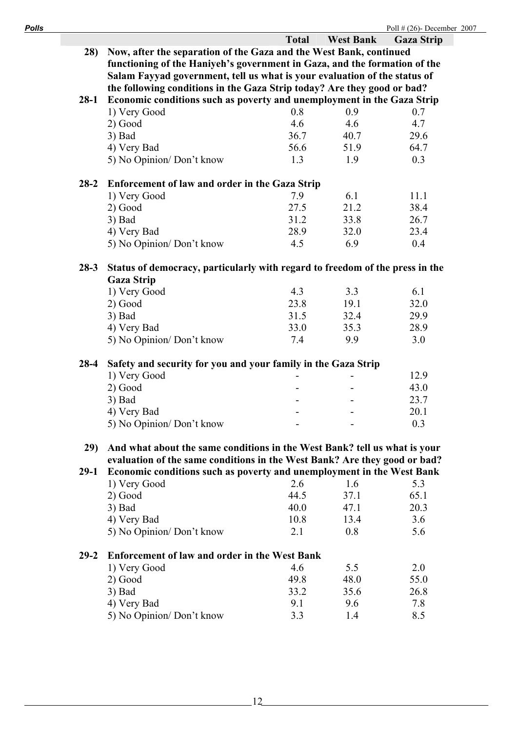| Polls |          |                                                                              |              |                  | Poll $\#$ (26)- December 2007 |
|-------|----------|------------------------------------------------------------------------------|--------------|------------------|-------------------------------|
|       |          |                                                                              | <b>Total</b> | <b>West Bank</b> | <b>Gaza Strip</b>             |
|       | 28)      | Now, after the separation of the Gaza and the West Bank, continued           |              |                  |                               |
|       |          | functioning of the Haniyeh's government in Gaza, and the formation of the    |              |                  |                               |
|       |          | Salam Fayyad government, tell us what is your evaluation of the status of    |              |                  |                               |
|       |          | the following conditions in the Gaza Strip today? Are they good or bad?      |              |                  |                               |
|       | $28-1$   | Economic conditions such as poverty and unemployment in the Gaza Strip       |              |                  |                               |
|       |          | 1) Very Good                                                                 | 0.8          | 0.9              | 0.7                           |
|       |          | $2)$ Good                                                                    | 4.6          | 4.6              | 4.7                           |
|       |          | $3)$ Bad                                                                     | 36.7         | 40.7             | 29.6                          |
|       |          | 4) Very Bad                                                                  | 56.6         | 51.9             | 64.7                          |
|       |          | 5) No Opinion/Don't know                                                     | 1.3          | 1.9              | 0.3                           |
|       | $28 - 2$ | <b>Enforcement of law and order in the Gaza Strip</b>                        |              |                  |                               |
|       |          | 1) Very Good                                                                 | 7.9          | 6.1              | 11.1                          |
|       |          | $2)$ Good                                                                    | 27.5         | 21.2             | 38.4                          |
|       |          | $3)$ Bad                                                                     | 31.2         | 33.8             | 26.7                          |
|       |          | 4) Very Bad                                                                  | 28.9         | 32.0             | 23.4                          |
|       |          | 5) No Opinion/Don't know                                                     | 4.5          | 6.9              | 0.4                           |
|       | $28 - 3$ | Status of democracy, particularly with regard to freedom of the press in the |              |                  |                               |
|       |          | <b>Gaza Strip</b>                                                            |              |                  |                               |
|       |          | 1) Very Good                                                                 | 4.3          | 3.3              | 6.1                           |
|       |          | $2)$ Good                                                                    | 23.8         | 19.1             | 32.0                          |
|       |          | 3) Bad                                                                       | 31.5         | 32.4             | 29.9                          |
|       |          | 4) Very Bad                                                                  | 33.0         | 35.3             | 28.9                          |
|       |          | 5) No Opinion/Don't know                                                     | 7.4          | 9.9              | 3.0                           |
|       | $28-4$   | Safety and security for you and your family in the Gaza Strip                |              |                  |                               |
|       |          | 1) Very Good                                                                 |              |                  | 12.9                          |
|       |          | 2) Good                                                                      |              |                  | 43.0                          |
|       |          | $3)$ Bad                                                                     |              |                  | 23.7                          |
|       |          | 4) Very Bad                                                                  |              |                  | 20.1                          |
|       |          | 5) No Opinion/Don't know                                                     |              |                  | 0.3                           |
|       | 29)      | And what about the same conditions in the West Bank? tell us what is your    |              |                  |                               |
|       |          | evaluation of the same conditions in the West Bank? Are they good or bad?    |              |                  |                               |
|       | $29-1$   | Economic conditions such as poverty and unemployment in the West Bank        |              |                  |                               |
|       |          | 1) Very Good                                                                 | 2.6          | 1.6              | 5.3                           |
|       |          | 2) Good                                                                      | 44.5         | 37.1             | 65.1                          |
|       |          | $3)$ Bad                                                                     | 40.0         | 47.1             | 20.3                          |
|       |          | 4) Very Bad                                                                  | 10.8         | 13.4             | 3.6                           |
|       |          | 5) No Opinion/Don't know                                                     | 2.1          | 0.8              | 5.6                           |
|       | $29 - 2$ | <b>Enforcement of law and order in the West Bank</b>                         |              |                  |                               |
|       |          | 1) Very Good                                                                 | 4.6          | 5.5              | 2.0                           |
|       |          | $2)$ Good                                                                    | 498          | 48.0             | 550                           |

| 1) very Good             | 4 O  |                 | Z.U  |
|--------------------------|------|-----------------|------|
| $2)$ Good                | 498  | 48 Q            | 55.0 |
| $3)$ Bad                 | 33 2 | 35.6            | 26.8 |
| 4) Very Bad              | 91   | 96              | 78   |
| 5) No Opinion/Don't know | 33   | $\overline{14}$ | 8.5  |
|                          |      |                 |      |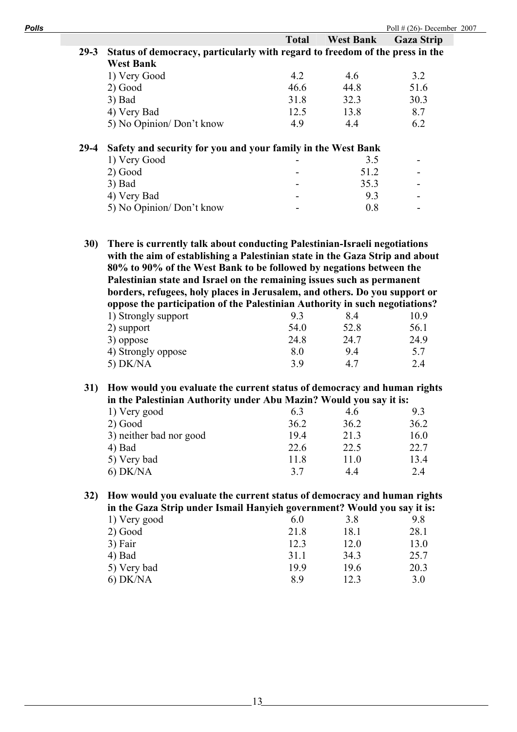| <b>West Bank</b><br><b>Total</b><br><b>Gaza Strip</b><br>Status of democracy, particularly with regard to freedom of the press in the<br><b>West Bank</b><br>1) Very Good<br>4.2<br>4.6<br>3.2<br>46.6<br>44.8<br>$2)$ Good<br>51.6<br>31.8<br>32.3<br>30.3<br>$3)$ Bad<br>12.5<br>13.8<br>8.7<br>4) Very Bad<br>6.2<br>5) No Opinion/Don't know<br>4.9<br>4.4 |
|----------------------------------------------------------------------------------------------------------------------------------------------------------------------------------------------------------------------------------------------------------------------------------------------------------------------------------------------------------------|
|                                                                                                                                                                                                                                                                                                                                                                |
|                                                                                                                                                                                                                                                                                                                                                                |
|                                                                                                                                                                                                                                                                                                                                                                |
|                                                                                                                                                                                                                                                                                                                                                                |
|                                                                                                                                                                                                                                                                                                                                                                |
|                                                                                                                                                                                                                                                                                                                                                                |
|                                                                                                                                                                                                                                                                                                                                                                |
|                                                                                                                                                                                                                                                                                                                                                                |
| Safety and security for you and your family in the West Bank                                                                                                                                                                                                                                                                                                   |
|                                                                                                                                                                                                                                                                                                                                                                |
| 1) Very Good<br>3.5<br>$\overline{\phantom{a}}$                                                                                                                                                                                                                                                                                                                |
| 51.2                                                                                                                                                                                                                                                                                                                                                           |
| $2)$ Good<br>35.3                                                                                                                                                                                                                                                                                                                                              |
| $3)$ Bad<br>9.3                                                                                                                                                                                                                                                                                                                                                |
| 4) Very Bad<br>5) No Opinion/Don't know<br>0.8<br>There is currently talk about conducting Palestinian-Israeli negotiations<br>80% to 90% of the West Bank to be followed by negations between the<br>Palestinian state and Israel on the remaining issues such as permanent<br>borders, refugees, holy places in Jerusalem, and others. Do you support or     |
| oppose the participation of the Palestinian Authority in such negotiations?                                                                                                                                                                                                                                                                                    |
| 1) Strongly support<br>9.3<br>8.4<br>10.9                                                                                                                                                                                                                                                                                                                      |
| 54.0<br>52.8<br>56.1<br>2) support                                                                                                                                                                                                                                                                                                                             |
| 24.7<br>24.8<br>24.9<br>3) oppose                                                                                                                                                                                                                                                                                                                              |
| 8.0<br>4) Strongly oppose<br>9.4<br>5.7                                                                                                                                                                                                                                                                                                                        |
| 5) DK/NA<br>3.9<br>4.7<br>2.4                                                                                                                                                                                                                                                                                                                                  |
| with the aim of establishing a Palestinian state in the Gaza Strip and about<br>How would you evaluate the current status of democracy and human rights                                                                                                                                                                                                        |
| in the Palestinian Authority under Abu Mazin? Would you say it is:                                                                                                                                                                                                                                                                                             |
| 1) Very good<br>6.3<br>4.6<br>9.3                                                                                                                                                                                                                                                                                                                              |
| 36.2<br>36.2<br>$2)$ Good<br>36.2                                                                                                                                                                                                                                                                                                                              |
| 3) neither bad nor good<br>19.4<br>21.3<br>16.0                                                                                                                                                                                                                                                                                                                |
| 22.6<br>22.5<br>22.7<br>4) Bad                                                                                                                                                                                                                                                                                                                                 |
| 11.8<br>11.0<br>5) Very bad<br>13.4                                                                                                                                                                                                                                                                                                                            |
|                                                                                                                                                                                                                                                                                                                                                                |

| 1) VUY good | v.v  | J.O  | 2.0  |
|-------------|------|------|------|
| $2)$ Good   | 21.8 | 18.1 | 28.1 |
| 3) Fair     | 12.3 | 12.0 | 13.0 |
| $4)$ Bad    | 31.1 | 34.3 | 25.7 |
| 5) Very bad | 19.9 | 19.6 | 20.3 |
| $6)$ DK/NA  | 8.9  | 12.3 | 3.0  |
|             |      |      |      |

 $-13$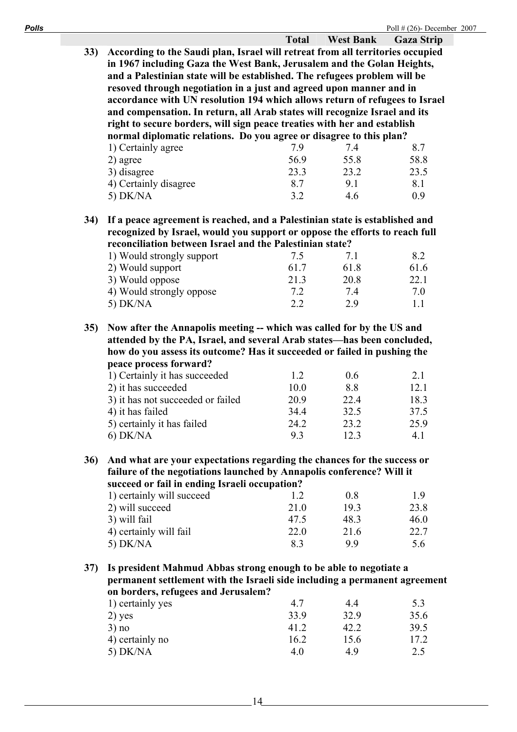|     |                                                                                                                                         | <b>Total</b> | <b>West Bank</b> | <b>Gaza Strip</b> |
|-----|-----------------------------------------------------------------------------------------------------------------------------------------|--------------|------------------|-------------------|
| 33) | According to the Saudi plan, Israel will retreat from all territories occupied                                                          |              |                  |                   |
|     | in 1967 including Gaza the West Bank, Jerusalem and the Golan Heights,                                                                  |              |                  |                   |
|     | and a Palestinian state will be established. The refugees problem will be                                                               |              |                  |                   |
|     | resoved through negotiation in a just and agreed upon manner and in                                                                     |              |                  |                   |
|     | accordance with UN resolution 194 which allows return of refugees to Israel                                                             |              |                  |                   |
|     |                                                                                                                                         |              |                  |                   |
|     | and compensation. In return, all Arab states will recognize Israel and its                                                              |              |                  |                   |
|     | right to secure borders, will sign peace treaties with her and establish                                                                |              |                  |                   |
|     | normal diplomatic relations. Do you agree or disagree to this plan?                                                                     |              |                  |                   |
|     | 1) Certainly agree                                                                                                                      | 7.9          | 7.4              | 8.7               |
|     | 2) agree                                                                                                                                | 56.9         | 55.8             | 58.8              |
|     | 3) disagree                                                                                                                             | 23.3         | 23.2             | 23.5              |
|     | 4) Certainly disagree                                                                                                                   | 8.7          | 9.1              | 8.1               |
|     | 5) DK/NA                                                                                                                                | 3.2          | 4.6              | 0.9               |
| 34) | If a peace agreement is reached, and a Palestinian state is established and                                                             |              |                  |                   |
|     |                                                                                                                                         |              |                  |                   |
|     | recognized by Israel, would you support or oppose the efforts to reach full<br>reconciliation between Israel and the Palestinian state? |              |                  |                   |
|     |                                                                                                                                         |              |                  |                   |
|     | 1) Would strongly support                                                                                                               | 7.5<br>61.7  | 7.1              | 8.2               |
|     | 2) Would support                                                                                                                        |              | 61.8             | 61.6              |
|     | 3) Would oppose                                                                                                                         | 21.3         | 20.8             | 22.1              |
|     | 4) Would strongly oppose                                                                                                                | 7.2          | 7.4              | 7.0               |
|     | 5) DK/NA                                                                                                                                | 2.2          | 2.9              | 1.1               |
| 35) | Now after the Annapolis meeting -- which was called for by the US and                                                                   |              |                  |                   |
|     | attended by the PA, Israel, and several Arab states-has been concluded,                                                                 |              |                  |                   |
|     |                                                                                                                                         |              |                  |                   |
|     | how do you assess its outcome? Has it succeeded or failed in pushing the                                                                |              |                  |                   |
|     | peace process forward?                                                                                                                  |              |                  |                   |
|     | 1) Certainly it has succeeded                                                                                                           | 1.2          | 0.6              | 2.1               |
|     | 2) it has succeeded                                                                                                                     | 10.0         | 8.8              | 12.1              |
|     | 3) it has not succeeded or failed                                                                                                       | 20.9         | 22.4             | 18.3              |
|     | 4) it has failed                                                                                                                        | 34.4         | 32.5             | 37.5              |
|     | 5) certainly it has failed                                                                                                              | 24 2         | 23.2             | 25.9              |
|     | $6)$ DK/NA                                                                                                                              | 9.3          | 12.3             | 4.1               |
| 36) | And what are your expectations regarding the chances for the success or                                                                 |              |                  |                   |
|     | failure of the negotiations launched by Annapolis conference? Will it                                                                   |              |                  |                   |
|     | succeed or fail in ending Israeli occupation?                                                                                           |              |                  |                   |
|     | 1) certainly will succeed                                                                                                               | 1.2          | 0.8              | 1.9               |
|     | 2) will succeed                                                                                                                         | 21.0         | 19.3             | 23.8              |
|     | 3) will fail                                                                                                                            | 47.5         | 48.3             | 46.0              |
|     | 4) certainly will fail                                                                                                                  | 22.0         | 21.6             | 22.7              |
|     | 5) DK/NA                                                                                                                                | 8.3          | 9.9              | 5.6               |
|     |                                                                                                                                         |              |                  |                   |
| 37) | Is president Mahmud Abbas strong enough to be able to negotiate a                                                                       |              |                  |                   |
|     | permanent settlement with the Israeli side including a permanent agreement                                                              |              |                  |                   |
|     | on borders, refugees and Jerusalem?                                                                                                     |              |                  |                   |
|     | 1) certainly yes                                                                                                                        | 4.7          | 4.4              | 5.3               |
|     | $2)$ yes                                                                                                                                | 33.9         | 32.9             | 35.6              |
|     | 3) no                                                                                                                                   | 41.2         | 42.2             | 39.5              |
|     | 4) certainly no                                                                                                                         | 16.2         | 15.6             | 17.2              |
|     | 5) DK/NA                                                                                                                                | 4.0          | 4.9              | 2.5               |
|     |                                                                                                                                         |              |                  |                   |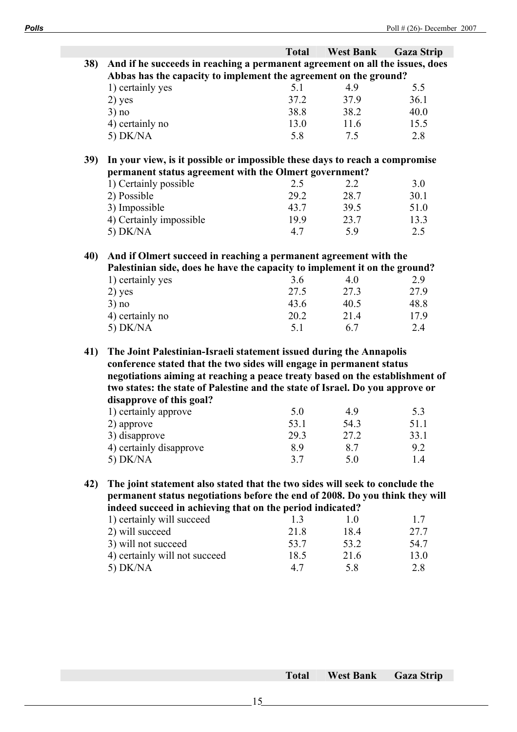|     |                                                                               | <b>Total</b> | <b>West Bank</b> | <b>Gaza Strip</b> |
|-----|-------------------------------------------------------------------------------|--------------|------------------|-------------------|
| 38) | And if he succeeds in reaching a permanent agreement on all the issues, does  |              |                  |                   |
|     | Abbas has the capacity to implement the agreement on the ground?              |              |                  |                   |
|     | 1) certainly yes                                                              | 5.1          | 4.9              | 5.5               |
|     | $2)$ yes                                                                      | 37.2         | 37.9             | 36.1              |
|     | 3) no                                                                         | 38.8         | 38.2             | 40.0              |
|     | 4) certainly no                                                               | 13.0         | 11.6             | 15.5              |
|     | 5) DK/NA                                                                      | 5.8          | 7.5              | 2.8               |
| 39) | In your view, is it possible or impossible these days to reach a compromise   |              |                  |                   |
|     | permanent status agreement with the Olmert government?                        |              |                  |                   |
|     | 1) Certainly possible                                                         | 2.5          | 2.2              | 3.0               |
|     | 2) Possible                                                                   | 29.2         | 28.7             | 30.1              |
|     | 3) Impossible                                                                 | 43.7         | 39.5             | 51.0              |
|     | 4) Certainly impossible                                                       | 19.9         | 23.7             | 13.3              |
|     | 5) DK/NA                                                                      | 4.7          | 5.9              | 2.5               |
|     |                                                                               |              |                  |                   |
| 40) | And if Olmert succeed in reaching a permanent agreement with the              |              |                  |                   |
|     | Palestinian side, does he have the capacity to implement it on the ground?    |              |                  |                   |
|     | 1) certainly yes                                                              | 3.6          | 4.0              | 2.9               |
|     | $2)$ yes                                                                      | 27.5         | 27.3             | 27.9              |
|     | 3) no                                                                         | 43.6         | 40.5             | 48.8              |
|     | 4) certainly no                                                               | 20.2         | 21.4             | 17.9              |
|     | 5) DK/NA                                                                      | 5.1          | 6.7              | 2.4               |
| 41) | The Joint Palestinian-Israeli statement issued during the Annapolis           |              |                  |                   |
|     | conference stated that the two sides will engage in permanent status          |              |                  |                   |
|     | negotiations aiming at reaching a peace treaty based on the establishment of  |              |                  |                   |
|     | two states: the state of Palestine and the state of Israel. Do you approve or |              |                  |                   |
|     | disapprove of this goal?                                                      |              |                  |                   |
|     | 1) certainly approve                                                          | 5.0          | 4.9              | 5.3               |
|     | 2) approve                                                                    | 53.1         | 54.3             | 51.1              |
|     | 3) disapprove                                                                 | 29.3         | 27.2             | 33.1              |
|     | 4) certainly disapprove                                                       | 8.9          | 8.7              | 9.2               |
|     | $5)$ DK/NA                                                                    | 3.7          | 5.0              | 1.4               |
| 42) | The joint statement also stated that the two sides will seek to conclude the  |              |                  |                   |
|     | permanent status negotiations before the end of 2008. Do you think they will  |              |                  |                   |
|     | indeed succeed in achieving that on the period indicated?                     |              |                  |                   |
|     | 1) certainly will succeed                                                     | 1.3          | 1.0              | 1.7               |
|     | 2) will succeed                                                               | 21.8         | 18.4             | 27.7              |
|     | 3) will not succeed                                                           | 53.7         | 53.2             | 54.7              |
|     | 4) certainly will not succeed                                                 | 18.5         | 21.6             | 13.0              |
|     | 5) DK/NA                                                                      | 4.7          | 5.8              | 2.8               |
|     |                                                                               |              |                  |                   |

**Total West Bank Gaza Strip**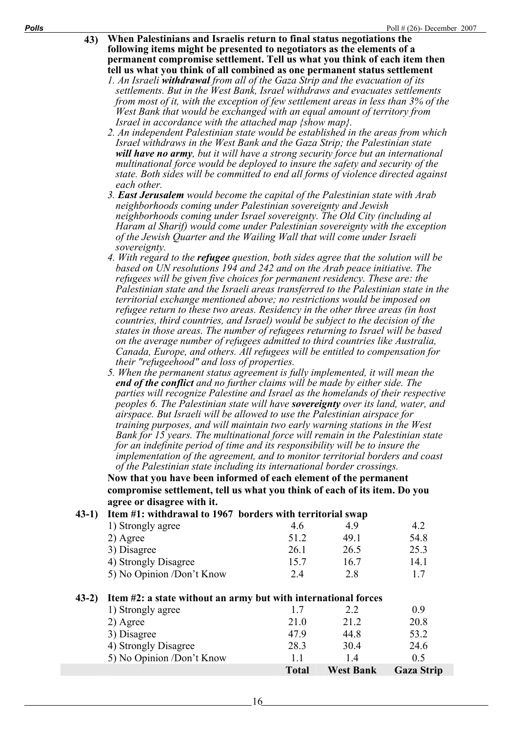- **43) When Palestinians and Israelis return to final status negotiations the following items might be presented to negotiators as the elements of a permanent compromise settlement. Tell us what you think of each item then tell us what you think of all combined as one permanent status settlement** 
	- *1. An Israeli withdrawal from all of the Gaza Strip and the evacuation of its settlements. But in the West Bank, Israel withdraws and evacuates settlements from most of it, with the exception of few settlement areas in less than 3% of the West Bank that would be exchanged with an equal amount of territory from Israel in accordance with the attached map {show map}.*
	- *2. An independent Palestinian state would be established in the areas from which Israel withdraws in the West Bank and the Gaza Strip; the Palestinian state will have no army, but it will have a strong security force but an international multinational force would be deployed to insure the safety and security of the state. Both sides will be committed to end all forms of violence directed against each other.*
	- *3. East Jerusalem would become the capital of the Palestinian state with Arab neighborhoods coming under Palestinian sovereignty and Jewish neighborhoods coming under Israel sovereignty. The Old City (including al Haram al Sharif) would come under Palestinian sovereignty with the exception of the Jewish Quarter and the Wailing Wall that will come under Israeli sovereignty.*
	- *4. With regard to the refugee question, both sides agree that the solution will be based on UN resolutions 194 and 242 and on the Arab peace initiative. The refugees will be given five choices for permanent residency. These are: the Palestinian state and the Israeli areas transferred to the Palestinian state in the territorial exchange mentioned above; no restrictions would be imposed on refugee return to these two areas. Residency in the other three areas (in host countries, third countries, and Israel) would be subject to the decision of the states in those areas. The number of refugees returning to Israel will be based on the average number of refugees admitted to third countries like Australia, Canada, Europe, and others. All refugees will be entitled to compensation for their "refugeehood" and loss of properties.*
	- *5. When the permanent status agreement is fully implemented, it will mean the end of the conflict and no further claims will be made by either side. The parties will recognize Palestine and Israel as the homelands of their respective peoples 6. The Palestinian state will have sovereignty over its land, water, and airspace. But Israeli will be allowed to use the Palestinian airspace for training purposes, and will maintain two early warning stations in the West Bank for 15 years. The multinational force will remain in the Palestinian state for an indefinite period of time and its responsibility will be to insure the implementation of the agreement, and to monitor territorial borders and coast of the Palestinian state including its international border crossings.*

**Now that you have been informed of each element of the permanent compromise settlement, tell us what you think of each of its item. Do you agree or disagree with it.**

# **43-1) Item #1: withdrawal to 1967 borders with territorial swap**

| 4.6  | 49   | 4.2  |
|------|------|------|
| 512  | 491  | 54.8 |
| 26.1 | 26.5 | 25.3 |
| 15.7 | 16.7 | 14.1 |
| 2.4  | 28   |      |
|      |      |      |

#### **43-2) Item #2: a state without an army but with international forces**

|                           | <b>Total</b> | <b>West Bank</b> | <b>Gaza Strip</b> |
|---------------------------|--------------|------------------|-------------------|
| 5) No Opinion /Don't Know |              | 14               | 0.5               |
| 4) Strongly Disagree      | 28.3         | 30.4             | 24.6              |
| 3) Disagree               | 479          | 44.8             | 53.2              |
| 2) Agree                  | 21.0         | 21.2             | 20.8              |
| 1) Strongly agree         | 17           | 2.2              | 0.9               |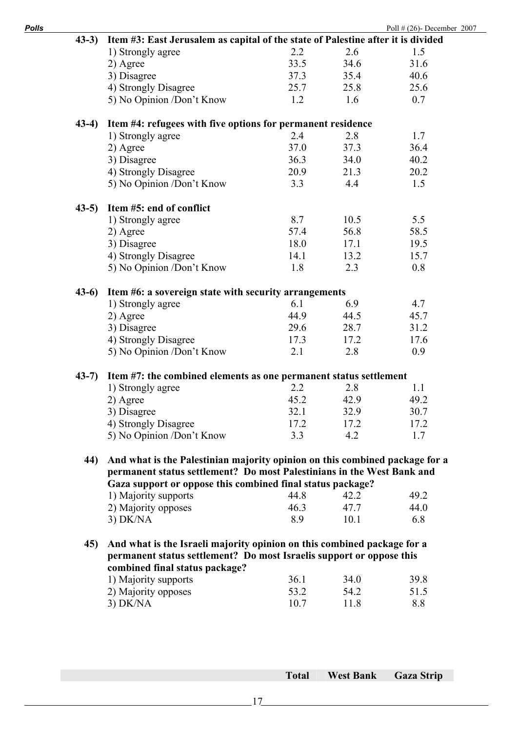| $(43-3)$ | Item #3: East Jerusalem as capital of the state of Palestine after it is divided                       |              |              |             |
|----------|--------------------------------------------------------------------------------------------------------|--------------|--------------|-------------|
|          | 1) Strongly agree                                                                                      | 2.2          | 2.6          | 1.5         |
|          | 2) Agree                                                                                               | 33.5         | 34.6         | 31.6        |
|          | 3) Disagree                                                                                            | 37.3         | 35.4         | 40.6        |
|          | 4) Strongly Disagree                                                                                   | 25.7         | 25.8         | 25.6        |
|          | 5) No Opinion /Don't Know                                                                              | 1.2          | 1.6          | 0.7         |
|          |                                                                                                        |              |              |             |
| $(43-4)$ | Item #4: refugees with five options for permanent residence                                            |              |              |             |
|          | 1) Strongly agree                                                                                      | 2.4          | 2.8          | 1.7         |
|          | 2) Agree                                                                                               | 37.0         | 37.3         | 36.4        |
|          | 3) Disagree                                                                                            | 36.3         | 34.0         | 40.2        |
|          | 4) Strongly Disagree                                                                                   | 20.9         | 21.3         | 20.2        |
|          | 5) No Opinion /Don't Know                                                                              | 3.3          | 4.4          | 1.5         |
| $(43-5)$ | Item #5: end of conflict                                                                               |              |              |             |
|          | 1) Strongly agree                                                                                      | 8.7          | 10.5         | 5.5         |
|          | 2) Agree                                                                                               | 57.4         | 56.8         | 58.5        |
|          | 3) Disagree                                                                                            | 18.0         | 17.1         | 19.5        |
|          | 4) Strongly Disagree                                                                                   | 14.1         | 13.2         | 15.7        |
|          | 5) No Opinion /Don't Know                                                                              | 1.8          | 2.3          | 0.8         |
| $(43-6)$ | Item #6: a sovereign state with security arrangements                                                  |              |              |             |
|          | 1) Strongly agree                                                                                      | 6.1          | 6.9          | 4.7         |
|          | 2) Agree                                                                                               | 44.9         | 44.5         | 45.7        |
|          | 3) Disagree                                                                                            | 29.6         | 28.7         | 31.2        |
|          |                                                                                                        |              |              |             |
|          | 4) Strongly Disagree                                                                                   | 17.3         | 17.2         | 17.6        |
|          | 5) No Opinion /Don't Know                                                                              | 2.1          | 2.8          | 0.9         |
| $(43-7)$ | Item #7: the combined elements as one permanent status settlement                                      |              |              |             |
|          | 1) Strongly agree                                                                                      | 2.2          | 2.8          | 1.1         |
|          | 2) Agree                                                                                               | 45.2         | 42.9         | 49.2        |
|          | 3) Disagree                                                                                            | 32.1         | 32.9         | 30.7        |
|          | 4) Strongly Disagree                                                                                   | 17.2         | 17.2         | 17.2        |
|          | 5) No Opinion /Don't Know                                                                              | 3.3          | 4.2          | 1.7         |
| 44)      | And what is the Palestinian majority opinion on this combined package for a                            |              |              |             |
|          | permanent status settlement? Do most Palestinians in the West Bank and                                 |              |              |             |
|          | Gaza support or oppose this combined final status package?                                             |              |              |             |
|          | 1) Majority supports                                                                                   | 44.8         | 42.2         | 49.2        |
|          | 2) Majority opposes                                                                                    | 46.3         | 47.7         | 44.0        |
|          | 3) DK/NA                                                                                               | 8.9          | 10.1         | 6.8         |
| 45)      | And what is the Israeli majority opinion on this combined package for a                                |              |              |             |
|          | permanent status settlement? Do most Israelis support or oppose this<br>combined final status package? |              |              |             |
|          |                                                                                                        | 36.1         | 34.0         | 39.8        |
|          | 1) Majority supports                                                                                   |              |              |             |
|          | 2) Majority opposes<br>$3)$ DK/NA                                                                      | 53.2<br>10.7 | 54.2<br>11.8 | 51.5<br>8.8 |
|          |                                                                                                        |              |              |             |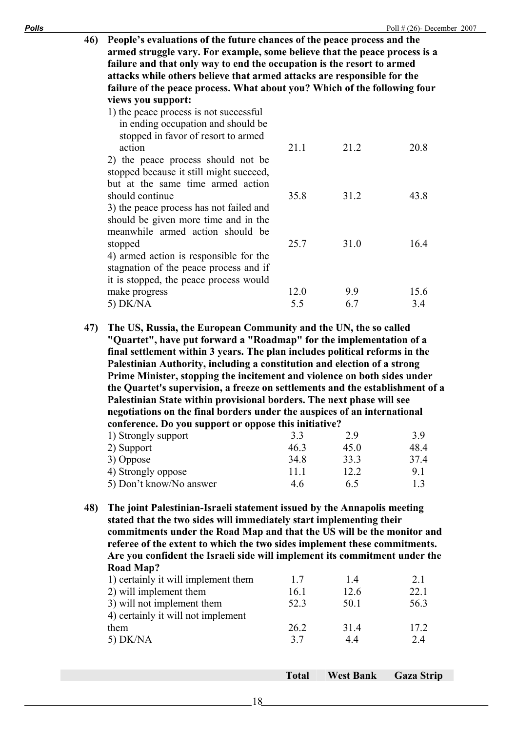| 46) People's evaluations of the future chances of the peace process and the |
|-----------------------------------------------------------------------------|
| armed struggle vary. For example, some believe that the peace process is a  |
| failure and that only way to end the occupation is the resort to armed      |
| attacks while others believe that armed attacks are responsible for the     |
| failure of the peace process. What about you? Which of the following four   |
| views you support:                                                          |

| $\frac{1}{2}$                                                                                                              |      |      |      |
|----------------------------------------------------------------------------------------------------------------------------|------|------|------|
| 1) the peace process is not successful<br>in ending occupation and should be<br>stopped in favor of resort to armed        |      |      |      |
| action                                                                                                                     | 21.1 | 21.2 | 20.8 |
| 2) the peace process should not be<br>stopped because it still might succeed,<br>but at the same time armed action         |      |      |      |
| should continue                                                                                                            | 35.8 | 31.2 | 43.8 |
| 3) the peace process has not failed and<br>should be given more time and in the<br>meanwhile armed action should be        |      |      |      |
| stopped                                                                                                                    | 25.7 | 31.0 | 16.4 |
| 4) armed action is responsible for the<br>stagnation of the peace process and if<br>it is stopped, the peace process would |      |      |      |
| make progress                                                                                                              | 12.0 | 9.9  | 15.6 |
| $5)$ DK/NA                                                                                                                 | 5.5  | 6.7  | 3.4  |
|                                                                                                                            |      |      |      |

**47) The US, Russia, the European Community and the UN, the so called "Quartet", have put forward a "Roadmap" for the implementation of a final settlement within 3 years. The plan includes political reforms in the Palestinian Authority, including a constitution and election of a strong Prime Minister, stopping the incitement and violence on both sides under the Quartet's supervision, a freeze on settlements and the establishment of a Palestinian State within provisional borders. The next phase will see negotiations on the final borders under the auspices of an international conference. Do you support or oppose this initiative?**

| 1) Strongly support     | 3.3  | 29   | 39   |
|-------------------------|------|------|------|
| 2) Support              | 463  | 450  | 48 4 |
| 3) Oppose               | 34.8 | 333  | 374  |
| 4) Strongly oppose      | 11 1 | 12.2 | 91   |
| 5) Don't know/No answer | 46   | 65   | 13   |

**48) The joint Palestinian-Israeli statement issued by the Annapolis meeting stated that the two sides will immediately start implementing their commitments under the Road Map and that the US will be the monitor and referee of the extent to which the two sides implement these commitments. Are you confident the Israeli side will implement its commitment under the Road Map?** 

| 1) certainly it will implement them | 17   | 14   | 2.1  |
|-------------------------------------|------|------|------|
| 2) will implement them              | 16.1 | 12.6 | 22.1 |
| 3) will not implement them          | 52.3 | 50.1 | 56.3 |
| 4) certainly it will not implement  |      |      |      |
| them                                | 26.2 | 314  | 172  |
| $5)$ DK/NA                          | 37   | 44   | 24   |
|                                     |      |      |      |

**Total West Bank Gaza Strip**